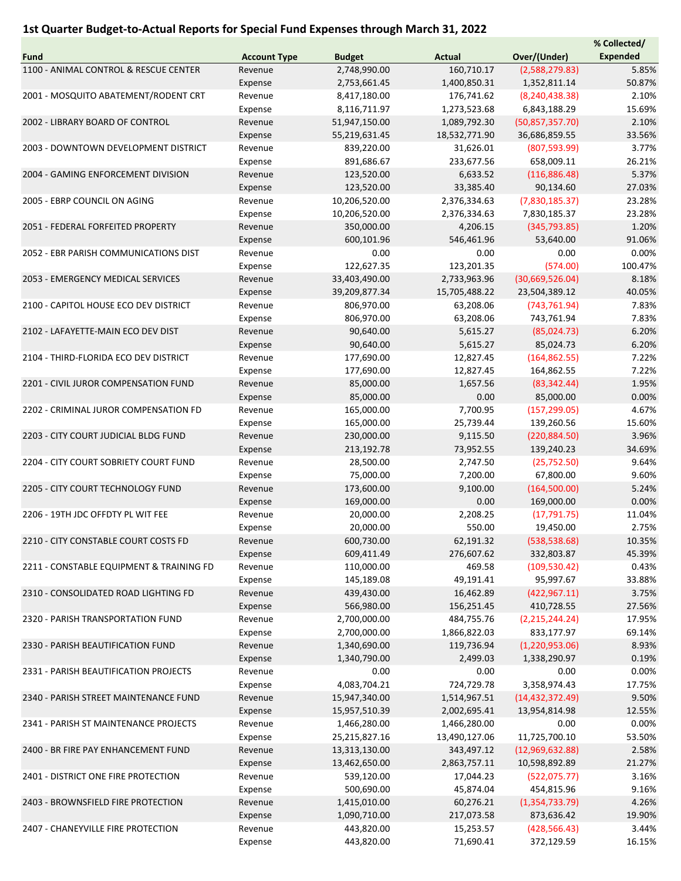## 1st Quarter Budget-to-Actual Reports for Special Fund Expenses through March 31, 2022

|                                          |                     |               |               |                   | % Collected/    |
|------------------------------------------|---------------------|---------------|---------------|-------------------|-----------------|
| <b>Fund</b>                              | <b>Account Type</b> | <b>Budget</b> | <b>Actual</b> | Over/(Under)      | <b>Expended</b> |
| 1100 - ANIMAL CONTROL & RESCUE CENTER    | Revenue             | 2,748,990.00  | 160,710.17    | (2,588,279.83)    | 5.85%           |
|                                          | Expense             | 2,753,661.45  | 1,400,850.31  | 1,352,811.14      | 50.87%          |
| 2001 - MOSQUITO ABATEMENT/RODENT CRT     | Revenue             | 8,417,180.00  | 176,741.62    | (8, 240, 438.38)  | 2.10%           |
|                                          | Expense             | 8,116,711.97  | 1,273,523.68  | 6,843,188.29      | 15.69%          |
| 2002 - LIBRARY BOARD OF CONTROL          | Revenue             | 51,947,150.00 | 1,089,792.30  | (50, 857, 357.70) | 2.10%           |
|                                          | Expense             | 55,219,631.45 | 18,532,771.90 | 36,686,859.55     | 33.56%          |
|                                          |                     |               |               |                   |                 |
| 2003 - DOWNTOWN DEVELOPMENT DISTRICT     | Revenue             | 839,220.00    | 31,626.01     | (807, 593.99)     | 3.77%           |
|                                          | Expense             | 891,686.67    | 233,677.56    | 658,009.11        | 26.21%          |
| 2004 - GAMING ENFORCEMENT DIVISION       | Revenue             | 123,520.00    | 6,633.52      | (116,886.48)      | 5.37%           |
|                                          | Expense             | 123,520.00    | 33,385.40     | 90,134.60         | 27.03%          |
| 2005 - EBRP COUNCIL ON AGING             | Revenue             | 10,206,520.00 | 2,376,334.63  | (7,830,185.37)    | 23.28%          |
|                                          | Expense             | 10,206,520.00 | 2,376,334.63  | 7,830,185.37      | 23.28%          |
| 2051 - FEDERAL FORFEITED PROPERTY        | Revenue             | 350,000.00    | 4,206.15      | (345, 793.85)     | 1.20%           |
|                                          | Expense             | 600,101.96    | 546,461.96    | 53,640.00         | 91.06%          |
| 2052 - EBR PARISH COMMUNICATIONS DIST    | Revenue             | 0.00          | 0.00          | 0.00              | 0.00%           |
|                                          | Expense             | 122,627.35    | 123,201.35    | (574.00)          | 100.47%         |
| 2053 - EMERGENCY MEDICAL SERVICES        | Revenue             | 33,403,490.00 | 2,733,963.96  | (30,669,526.04)   | 8.18%           |
|                                          | Expense             | 39,209,877.34 | 15,705,488.22 | 23,504,389.12     | 40.05%          |
| 2100 - CAPITOL HOUSE ECO DEV DISTRICT    | Revenue             | 806,970.00    | 63,208.06     | (743, 761.94)     | 7.83%           |
|                                          | Expense             | 806,970.00    | 63,208.06     | 743,761.94        | 7.83%           |
| 2102 - LAFAYETTE-MAIN ECO DEV DIST       | Revenue             | 90,640.00     | 5,615.27      | (85,024.73)       | 6.20%           |
|                                          | Expense             | 90,640.00     | 5,615.27      | 85,024.73         | 6.20%           |
|                                          |                     |               |               |                   |                 |
| 2104 - THIRD-FLORIDA ECO DEV DISTRICT    | Revenue             | 177,690.00    | 12,827.45     | (164, 862.55)     | 7.22%           |
|                                          | Expense             | 177,690.00    | 12,827.45     | 164,862.55        | 7.22%           |
| 2201 - CIVIL JUROR COMPENSATION FUND     | Revenue             | 85,000.00     | 1,657.56      | (83, 342.44)      | 1.95%           |
|                                          | Expense             | 85,000.00     | 0.00          | 85,000.00         | 0.00%           |
| 2202 - CRIMINAL JUROR COMPENSATION FD    | Revenue             | 165,000.00    | 7,700.95      | (157, 299.05)     | 4.67%           |
|                                          | Expense             | 165,000.00    | 25,739.44     | 139,260.56        | 15.60%          |
| 2203 - CITY COURT JUDICIAL BLDG FUND     | Revenue             | 230,000.00    | 9,115.50      | (220, 884.50)     | 3.96%           |
|                                          | Expense             | 213,192.78    | 73,952.55     | 139,240.23        | 34.69%          |
| 2204 - CITY COURT SOBRIETY COURT FUND    | Revenue             | 28,500.00     | 2,747.50      | (25,752.50)       | 9.64%           |
|                                          | Expense             | 75,000.00     | 7,200.00      | 67,800.00         | 9.60%           |
| 2205 - CITY COURT TECHNOLOGY FUND        | Revenue             | 173,600.00    | 9,100.00      | (164, 500.00)     | 5.24%           |
|                                          | Expense             | 169,000.00    | 0.00          | 169,000.00        | 0.00%           |
| 2206 - 19TH JDC OFFDTY PL WIT FEE        | Revenue             | 20,000.00     | 2,208.25      | (17, 791.75)      | 11.04%          |
|                                          | Expense             | 20,000.00     | 550.00        | 19,450.00         | 2.75%           |
| 2210 - CITY CONSTABLE COURT COSTS FD     | Revenue             | 600,730.00    | 62,191.32     | (538, 538.68)     | 10.35%          |
|                                          | Expense             | 609,411.49    | 276,607.62    | 332,803.87        | 45.39%          |
| 2211 - CONSTABLE EQUIPMENT & TRAINING FD | Revenue             | 110,000.00    | 469.58        | (109, 530.42)     | 0.43%           |
|                                          |                     | 145,189.08    | 49,191.41     |                   | 33.88%          |
|                                          | Expense             |               |               | 95,997.67         |                 |
| 2310 - CONSOLIDATED ROAD LIGHTING FD     | Revenue             | 439,430.00    | 16,462.89     | (422, 967.11)     | 3.75%           |
|                                          | Expense             | 566,980.00    | 156,251.45    | 410,728.55        | 27.56%          |
| 2320 - PARISH TRANSPORTATION FUND        | Revenue             | 2,700,000.00  | 484,755.76    | (2,215,244.24)    | 17.95%          |
|                                          | Expense             | 2,700,000.00  | 1,866,822.03  | 833,177.97        | 69.14%          |
| 2330 - PARISH BEAUTIFICATION FUND        | Revenue             | 1,340,690.00  | 119,736.94    | (1,220,953.06)    | 8.93%           |
|                                          | Expense             | 1,340,790.00  | 2,499.03      | 1,338,290.97      | 0.19%           |
| 2331 - PARISH BEAUTIFICATION PROJECTS    | Revenue             | 0.00          | 0.00          | 0.00              | 0.00%           |
|                                          | Expense             | 4,083,704.21  | 724,729.78    | 3,358,974.43      | 17.75%          |
| 2340 - PARISH STREET MAINTENANCE FUND    | Revenue             | 15,947,340.00 | 1,514,967.51  | (14, 432, 372.49) | 9.50%           |
|                                          | Expense             | 15,957,510.39 | 2,002,695.41  | 13,954,814.98     | 12.55%          |
| 2341 - PARISH ST MAINTENANCE PROJECTS    | Revenue             | 1,466,280.00  | 1,466,280.00  | 0.00              | 0.00%           |
|                                          | Expense             | 25,215,827.16 | 13,490,127.06 | 11,725,700.10     | 53.50%          |
| 2400 - BR FIRE PAY ENHANCEMENT FUND      | Revenue             | 13,313,130.00 | 343,497.12    | (12,969,632.88)   | 2.58%           |
|                                          | Expense             | 13,462,650.00 | 2,863,757.11  | 10,598,892.89     | 21.27%          |
| 2401 - DISTRICT ONE FIRE PROTECTION      | Revenue             | 539,120.00    | 17,044.23     | (522,075.77)      | 3.16%           |
|                                          | Expense             | 500,690.00    | 45,874.04     | 454,815.96        | 9.16%           |
| 2403 - BROWNSFIELD FIRE PROTECTION       | Revenue             |               |               |                   | 4.26%           |
|                                          |                     | 1,415,010.00  | 60,276.21     | (1,354,733.79)    |                 |
|                                          | Expense             | 1,090,710.00  | 217,073.58    | 873,636.42        | 19.90%          |
| 2407 - CHANEYVILLE FIRE PROTECTION       | Revenue             | 443,820.00    | 15,253.57     | (428, 566.43)     | 3.44%           |
|                                          | Expense             | 443,820.00    | 71,690.41     | 372,129.59        | 16.15%          |